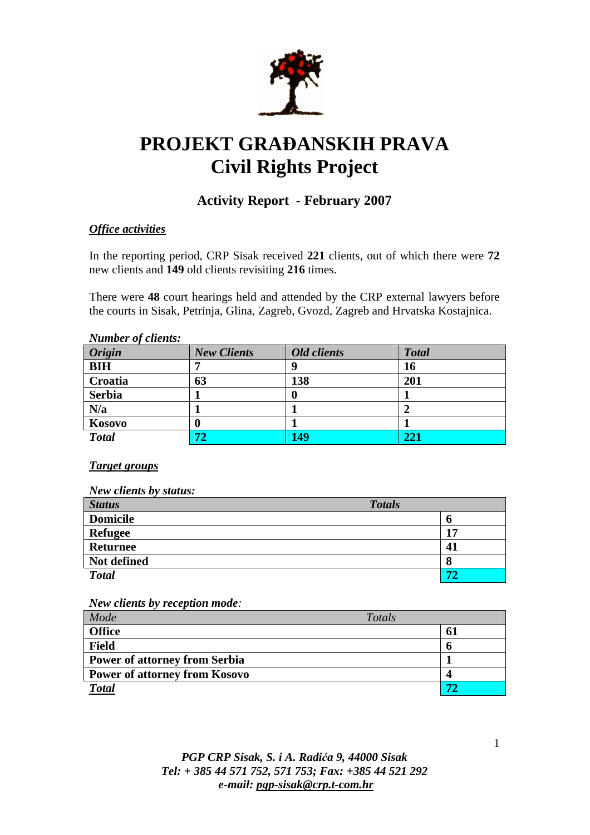

# **PROJEKT GRA**Đ**ANSKIH PRAVA Civil Rights Project**

# **Activity Report - February 2007**

## *Office activities*

In the reporting period, CRP Sisak received **221** clients, out of which there were **72**  new clients and **149** old clients revisiting **216** times.

There were **48** court hearings held and attended by the CRP external lawyers before the courts in Sisak, Petrinja, Glina, Zagreb, Gvozd, Zagreb and Hrvatska Kostajnica.

| Trainder of enemo.<br><b>Origin</b> | <b>New Clients</b> | Old clients | <b>Total</b> |
|-------------------------------------|--------------------|-------------|--------------|
|                                     |                    |             |              |
| <b>BIH</b>                          |                    |             | 16           |
| Croatia                             | 63                 | 138         | 201          |
| <b>Serbia</b>                       |                    |             |              |
| N/a                                 |                    |             |              |
| Kosovo                              | U                  |             |              |
| <b>Total</b>                        | 72                 | 149         | 221          |

### *Number of clients:*

#### *Target groups*

#### *New clients by status:*

| <b>Status</b>   | <b>Totals</b> |    |
|-----------------|---------------|----|
| <b>Domicile</b> |               | o  |
| <b>Refugee</b>  |               | 17 |
| <b>Returnee</b> |               | 41 |
| Not defined     |               | 8  |
| <b>Total</b>    |               | 72 |

*New clients by reception mode:* 

| Mode                                 | Totals |    |
|--------------------------------------|--------|----|
| <b>Office</b>                        |        | 61 |
| <b>Field</b>                         |        |    |
| <b>Power of attorney from Serbia</b> |        |    |
| <b>Power of attorney from Kosovo</b> |        |    |
| <b>Total</b>                         |        |    |

# *PGP CRP Sisak, S. i A. Radi*ć*a 9, 44000 Sisak Tel: + 385 44 571 752, 571 753; Fax: +385 44 521 292 e-mail: pgp-sisak@crp.t-com.hr*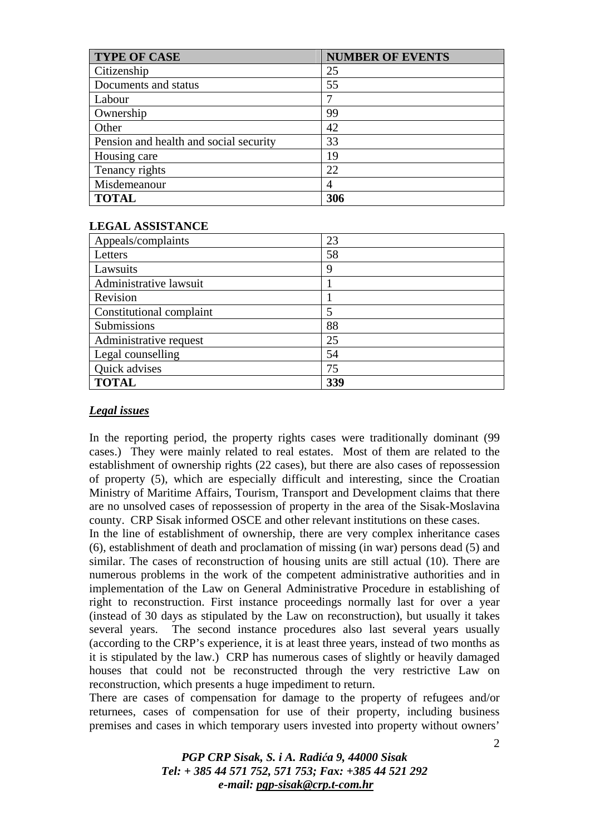| <b>TYPE OF CASE</b>                    | <b>NUMBER OF EVENTS</b> |
|----------------------------------------|-------------------------|
| Citizenship                            | 25                      |
| Documents and status                   | 55                      |
| Labour                                 |                         |
| Ownership                              | 99                      |
| Other                                  | 42                      |
| Pension and health and social security | 33                      |
| Housing care                           | 19                      |
| Tenancy rights                         | 22                      |
| Misdemeanour                           |                         |
| <b>TOTAL</b>                           | 306                     |

#### **LEGAL ASSISTANCE**

| Appeals/complaints       | 23  |
|--------------------------|-----|
| Letters                  | 58  |
| Lawsuits                 | 9   |
| Administrative lawsuit   |     |
| Revision                 |     |
| Constitutional complaint |     |
| Submissions              | 88  |
| Administrative request   | 25  |
| Legal counselling        | 54  |
| Quick advises            | 75  |
| <b>TOTAL</b>             | 339 |

#### *Legal issues*

In the reporting period, the property rights cases were traditionally dominant (99 cases.) They were mainly related to real estates. Most of them are related to the establishment of ownership rights (22 cases), but there are also cases of repossession of property (5), which are especially difficult and interesting, since the Croatian Ministry of Maritime Affairs, Tourism, Transport and Development claims that there are no unsolved cases of repossession of property in the area of the Sisak-Moslavina county. CRP Sisak informed OSCE and other relevant institutions on these cases.

In the line of establishment of ownership, there are very complex inheritance cases (6), establishment of death and proclamation of missing (in war) persons dead (5) and similar. The cases of reconstruction of housing units are still actual (10). There are numerous problems in the work of the competent administrative authorities and in implementation of the Law on General Administrative Procedure in establishing of right to reconstruction. First instance proceedings normally last for over a year (instead of 30 days as stipulated by the Law on reconstruction), but usually it takes several years. The second instance procedures also last several years usually (according to the CRP's experience, it is at least three years, instead of two months as it is stipulated by the law.) CRP has numerous cases of slightly or heavily damaged houses that could not be reconstructed through the very restrictive Law on reconstruction, which presents a huge impediment to return.

There are cases of compensation for damage to the property of refugees and/or returnees, cases of compensation for use of their property, including business premises and cases in which temporary users invested into property without owners'

> *PGP CRP Sisak, S. i A. Radi*ć*a 9, 44000 Sisak Tel: + 385 44 571 752, 571 753; Fax: +385 44 521 292 e-mail: pgp-sisak@crp.t-com.hr*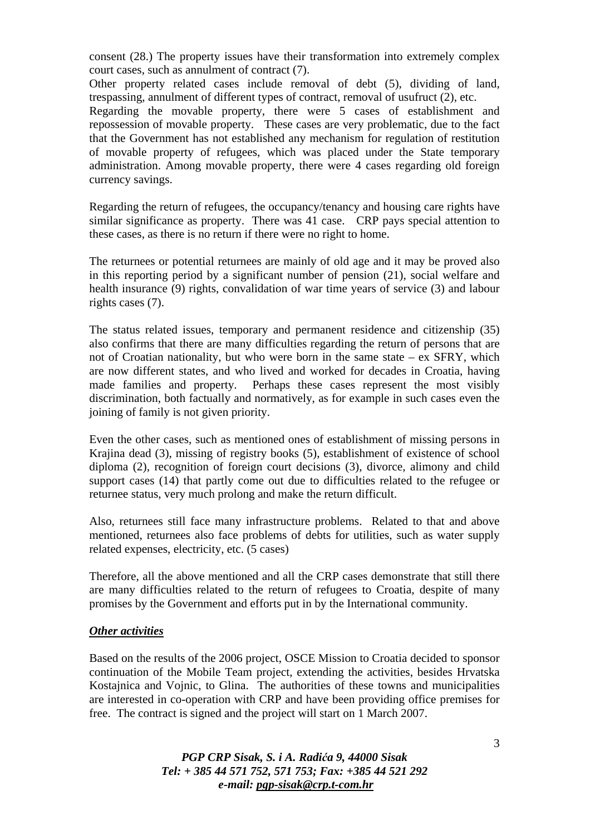consent (28.) The property issues have their transformation into extremely complex court cases, such as annulment of contract (7).

Other property related cases include removal of debt (5), dividing of land, trespassing, annulment of different types of contract, removal of usufruct (2), etc.

Regarding the movable property, there were 5 cases of establishment and repossession of movable property. These cases are very problematic, due to the fact that the Government has not established any mechanism for regulation of restitution of movable property of refugees, which was placed under the State temporary administration. Among movable property, there were 4 cases regarding old foreign currency savings.

Regarding the return of refugees, the occupancy/tenancy and housing care rights have similar significance as property. There was 41 case. CRP pays special attention to these cases, as there is no return if there were no right to home.

The returnees or potential returnees are mainly of old age and it may be proved also in this reporting period by a significant number of pension (21), social welfare and health insurance (9) rights, convalidation of war time years of service (3) and labour rights cases (7).

The status related issues, temporary and permanent residence and citizenship (35) also confirms that there are many difficulties regarding the return of persons that are not of Croatian nationality, but who were born in the same state – ex SFRY, which are now different states, and who lived and worked for decades in Croatia, having made families and property. Perhaps these cases represent the most visibly discrimination, both factually and normatively, as for example in such cases even the joining of family is not given priority.

Even the other cases, such as mentioned ones of establishment of missing persons in Krajina dead (3), missing of registry books (5), establishment of existence of school diploma (2), recognition of foreign court decisions (3), divorce, alimony and child support cases (14) that partly come out due to difficulties related to the refugee or returnee status, very much prolong and make the return difficult.

Also, returnees still face many infrastructure problems. Related to that and above mentioned, returnees also face problems of debts for utilities, such as water supply related expenses, electricity, etc. (5 cases)

Therefore, all the above mentioned and all the CRP cases demonstrate that still there are many difficulties related to the return of refugees to Croatia, despite of many promises by the Government and efforts put in by the International community.

#### *Other activities*

Based on the results of the 2006 project, OSCE Mission to Croatia decided to sponsor continuation of the Mobile Team project, extending the activities, besides Hrvatska Kostajnica and Vojnic, to Glina. The authorities of these towns and municipalities are interested in co-operation with CRP and have been providing office premises for free. The contract is signed and the project will start on 1 March 2007.

> *PGP CRP Sisak, S. i A. Radi*ć*a 9, 44000 Sisak Tel: + 385 44 571 752, 571 753; Fax: +385 44 521 292 e-mail: pgp-sisak@crp.t-com.hr*